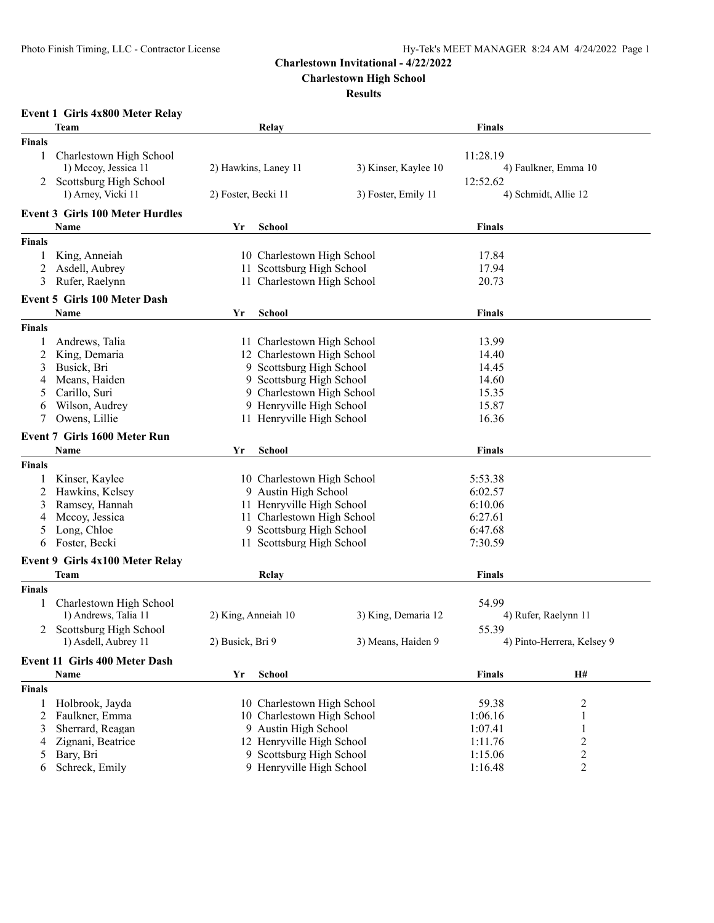**Charlestown High School**

|               | <b>Event 1 Girls 4x800 Meter Relay</b> |                            |                            |                      |                |                            |
|---------------|----------------------------------------|----------------------------|----------------------------|----------------------|----------------|----------------------------|
|               | Team                                   |                            | Relay                      |                      | <b>Finals</b>  |                            |
| <b>Finals</b> |                                        |                            |                            |                      |                |                            |
| 1             | Charlestown High School                |                            |                            |                      | 11:28.19       |                            |
|               | 1) Mccoy, Jessica 11                   |                            | 2) Hawkins, Laney 11       | 3) Kinser, Kaylee 10 |                | 4) Faulkner, Emma 10       |
|               | Scottsburg High School                 |                            |                            |                      | 12:52.62       |                            |
|               | 1) Arney, Vicki 11                     | 2) Foster, Becki 11        |                            | 3) Foster, Emily 11  |                | 4) Schmidt, Allie 12       |
|               |                                        |                            |                            |                      |                |                            |
|               | <b>Event 3 Girls 100 Meter Hurdles</b> |                            |                            |                      |                |                            |
|               | Name                                   | Yr                         | <b>School</b>              |                      | <b>Finals</b>  |                            |
| <b>Finals</b> |                                        |                            |                            |                      |                |                            |
| 1             | King, Anneiah                          |                            | 10 Charlestown High School |                      | 17.84          |                            |
| 2             | Asdell, Aubrey                         |                            | 11 Scottsburg High School  |                      | 17.94          |                            |
| 3             | Rufer, Raelynn                         |                            | 11 Charlestown High School |                      | 20.73          |                            |
|               | <b>Event 5 Girls 100 Meter Dash</b>    |                            |                            |                      |                |                            |
|               | Name                                   | Yr                         | <b>School</b>              |                      | Finals         |                            |
| <b>Finals</b> |                                        |                            |                            |                      |                |                            |
| 1             | Andrews, Talia                         |                            | 11 Charlestown High School |                      | 13.99          |                            |
| 2             | King, Demaria                          |                            | 12 Charlestown High School |                      | 14.40          |                            |
| 3             | Busick, Bri                            |                            | 9 Scottsburg High School   |                      | 14.45          |                            |
| 4             | Means, Haiden                          |                            | 9 Scottsburg High School   |                      | 14.60          |                            |
| 5             | Carillo, Suri                          |                            | 9 Charlestown High School  |                      | 15.35          |                            |
| 6             | Wilson, Audrey                         |                            | 9 Henryville High School   |                      | 15.87          |                            |
| 7             | Owens, Lillie                          |                            | 11 Henryville High School  |                      | 16.36          |                            |
|               | <b>Event 7 Girls 1600 Meter Run</b>    |                            |                            |                      |                |                            |
|               | <b>Name</b>                            | Yr                         | School                     |                      | Finals         |                            |
| <b>Finals</b> |                                        |                            |                            |                      |                |                            |
|               | Kinser, Kaylee                         |                            | 10 Charlestown High School |                      | 5:53.38        |                            |
| 2             | Hawkins, Kelsey                        |                            | 9 Austin High School       |                      | 6:02.57        |                            |
| 3             | Ramsey, Hannah                         |                            | 11 Henryville High School  |                      | 6:10.06        |                            |
| 4             | Mccoy, Jessica                         |                            | 11 Charlestown High School |                      | 6:27.61        |                            |
| 5             | Long, Chloe                            | 9 Scottsburg High School   |                            | 6:47.68              |                |                            |
| 6             | Foster, Becki                          | 11 Scottsburg High School  |                            | 7:30.59              |                |                            |
|               | Event 9 Girls 4x100 Meter Relay        |                            |                            |                      |                |                            |
|               | Team                                   |                            | Relay                      |                      | <b>Finals</b>  |                            |
| <b>Finals</b> |                                        |                            |                            |                      |                |                            |
|               | Charlestown High School                |                            |                            |                      | 54.99          |                            |
| 1             | 1) Andrews, Talia 11                   | 2) King, Anneiah 10        |                            | 3) King, Demaria 12  |                | 4) Rufer, Raelynn 11       |
|               | 2 Scottsburg High School               |                            |                            |                      | 55.39          |                            |
|               | 1) Asdell, Aubrey 11                   | 2) Busick, Bri 9           |                            | 3) Means, Haiden 9   |                | 4) Pinto-Herrera, Kelsey 9 |
|               |                                        |                            |                            |                      |                |                            |
|               | Event 11 Girls 400 Meter Dash          |                            |                            |                      |                |                            |
|               | Name                                   | Yr                         | <b>School</b>              |                      | <b>Finals</b>  | H#                         |
| <b>Finals</b> |                                        |                            |                            |                      |                |                            |
| 1             | Holbrook, Jayda                        | 10 Charlestown High School |                            | 59.38                | 2              |                            |
| 2             | Faulkner, Emma                         | 10 Charlestown High School |                            | 1:06.16              | 1              |                            |
| 3             | Sherrard, Reagan                       | 9 Austin High School       |                            | 1:07.41              |                |                            |
| 4             | Zignani, Beatrice                      | 12 Henryville High School  |                            | 1:11.76              | $\overline{c}$ |                            |
| 5             | Bary, Bri                              | 9 Scottsburg High School   |                            | 1:15.06              | $\overline{c}$ |                            |
| 6             | Schreck, Emily                         |                            | 9 Henryville High School   |                      | 1:16.48        | $\overline{c}$             |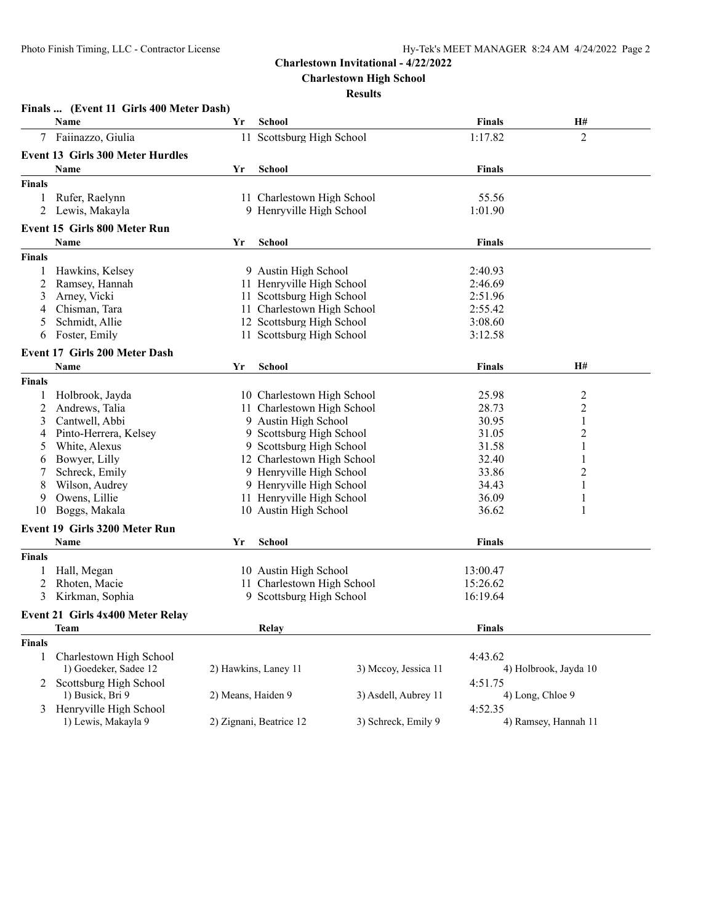**Charlestown High School**

|               | Finals  (Event 11 Girls 400 Meter Dash) |                    |                                              |                           |                       |                      |
|---------------|-----------------------------------------|--------------------|----------------------------------------------|---------------------------|-----------------------|----------------------|
|               | Name                                    | Yr                 | School                                       |                           | <b>Finals</b>         | <b>H#</b>            |
| 7             | Faiinazzo, Giulia                       |                    | 11 Scottsburg High School                    |                           | 1:17.82               | $\overline{2}$       |
|               | <b>Event 13 Girls 300 Meter Hurdles</b> |                    |                                              |                           |                       |                      |
|               | Name                                    | Yr                 | <b>School</b>                                |                           | <b>Finals</b>         |                      |
| <b>Finals</b> |                                         |                    |                                              |                           |                       |                      |
| 1             | Rufer, Raelynn                          |                    | 11 Charlestown High School                   |                           | 55.56                 |                      |
| 2             | Lewis, Makayla                          |                    | 9 Henryville High School                     |                           | 1:01.90               |                      |
|               | <b>Event 15 Girls 800 Meter Run</b>     |                    |                                              |                           |                       |                      |
|               | Name                                    | Yr                 | <b>School</b>                                |                           | <b>Finals</b>         |                      |
| <b>Finals</b> |                                         |                    |                                              |                           |                       |                      |
|               | Hawkins, Kelsey                         |                    | 9 Austin High School                         |                           | 2:40.93               |                      |
| 2             | Ramsey, Hannah                          |                    | 11 Henryville High School                    |                           | 2:46.69               |                      |
| 3             | Arney, Vicki                            |                    | 11 Scottsburg High School                    |                           | 2:51.96               |                      |
| 4             | Chisman, Tara                           |                    | 11 Charlestown High School                   |                           | 2:55.42               |                      |
| 5             | Schmidt, Allie                          |                    |                                              | 12 Scottsburg High School |                       |                      |
| 6             | Foster, Emily                           |                    | 11 Scottsburg High School                    |                           | 3:08.60<br>3:12.58    |                      |
|               |                                         |                    |                                              |                           |                       |                      |
|               | <b>Event 17 Girls 200 Meter Dash</b>    |                    |                                              |                           | <b>Finals</b>         |                      |
|               | Name                                    | Yr                 | School                                       |                           |                       | Н#                   |
| <b>Finals</b> |                                         |                    |                                              |                           |                       |                      |
|               | Holbrook, Jayda                         |                    | 10 Charlestown High School                   |                           | 25.98                 | $\overline{c}$       |
| 2             | Andrews, Talia                          |                    | 11 Charlestown High School                   |                           | 28.73                 | 2                    |
| 3             | Cantwell, Abbi                          |                    | 9 Austin High School                         |                           | 30.95                 | $\mathbf{1}$         |
| 4             | Pinto-Herrera, Kelsey                   |                    | 9 Scottsburg High School                     |                           | 31.05                 | 2                    |
| 5             | White, Alexus                           |                    | 9 Scottsburg High School                     |                           | 31.58                 | 1                    |
| 6             | Bowyer, Lilly                           |                    | 12 Charlestown High School                   |                           | 32.40                 | 1                    |
|               | Schreck, Emily                          |                    | 9 Henryville High School                     |                           | 33.86                 | $\overline{c}$       |
| 8             | Wilson, Audrey                          |                    | 9 Henryville High School                     |                           | 34.43                 | 1                    |
| 9             | Owens, Lillie                           |                    | 11 Henryville High School                    |                           | 36.09                 | 1                    |
| 10            | Boggs, Makala                           |                    | 10 Austin High School                        |                           | 36.62                 | 1                    |
|               | <b>Event 19 Girls 3200 Meter Run</b>    |                    |                                              |                           |                       |                      |
|               | Name                                    | Yr                 | <b>School</b>                                |                           | <b>Finals</b>         |                      |
| <b>Finals</b> |                                         |                    |                                              |                           |                       |                      |
|               | Hall, Megan                             |                    | 10 Austin High School                        |                           | 13:00.47              |                      |
| 2             | Rhoten, Macie                           |                    | 11 Charlestown High School                   |                           | 15:26.62              |                      |
| 3             | Kirkman, Sophia                         |                    | 9 Scottsburg High School                     |                           | 16:19.64              |                      |
|               | <b>Event 21 Girls 4x400 Meter Relay</b> |                    |                                              |                           |                       |                      |
|               | Team                                    |                    | Relay                                        |                           | <b>Finals</b>         |                      |
| <b>Finals</b> |                                         |                    |                                              |                           |                       |                      |
| $\mathbf{1}$  | Charlestown High School                 |                    |                                              |                           | 4:43.62               |                      |
|               | 1) Goedeker, Sadee 12                   |                    | 2) Hawkins, Laney 11<br>3) Mccoy, Jessica 11 |                           | 4) Holbrook, Jayda 10 |                      |
| 2             | Scottsburg High School                  |                    |                                              |                           | 4:51.75               |                      |
|               | 1) Busick, Bri 9                        | 2) Means, Haiden 9 |                                              | 3) Asdell, Aubrey 11      |                       | 4) Long, Chloe 9     |
| 3             | Henryville High School                  |                    |                                              |                           | 4:52.35               |                      |
|               | 1) Lewis, Makayla 9                     |                    | 2) Zignani, Beatrice 12                      | 3) Schreck, Emily 9       |                       | 4) Ramsey, Hannah 11 |
|               |                                         |                    |                                              |                           |                       |                      |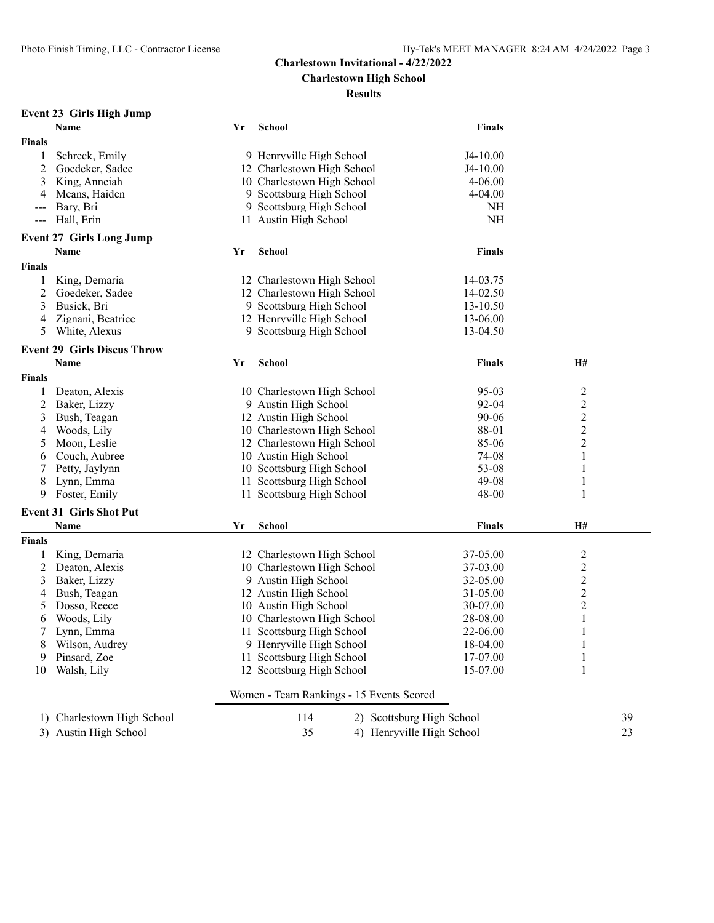**Charlestown High School**

|               | <b>Event 23 Girls High Jump</b>                  |    |                                                                     |               |                  |
|---------------|--------------------------------------------------|----|---------------------------------------------------------------------|---------------|------------------|
|               | Name                                             | Yr | <b>School</b>                                                       | Finals        |                  |
| <b>Finals</b> |                                                  |    |                                                                     |               |                  |
| 1             | Schreck, Emily                                   |    | 9 Henryville High School                                            | J4-10.00      |                  |
| 2             | Goedeker, Sadee                                  |    | 12 Charlestown High School                                          | J4-10.00      |                  |
| 3             | King, Anneiah                                    |    | 10 Charlestown High School                                          | $4 - 06.00$   |                  |
| 4             | Means, Haiden                                    |    | 9 Scottsburg High School                                            | 4-04.00       |                  |
| ---           | Bary, Bri                                        |    | 9 Scottsburg High School                                            | <b>NH</b>     |                  |
| $--$          | Hall, Erin                                       |    | 11 Austin High School                                               | <b>NH</b>     |                  |
|               | <b>Event 27 Girls Long Jump</b>                  |    |                                                                     |               |                  |
|               | Name                                             | Yr | <b>School</b>                                                       | Finals        |                  |
| <b>Finals</b> |                                                  |    |                                                                     |               |                  |
| 1             | King, Demaria                                    |    | 12 Charlestown High School                                          | 14-03.75      |                  |
| 2             | Goedeker, Sadee                                  |    | 12 Charlestown High School                                          | 14-02.50      |                  |
| 3             | Busick, Bri                                      |    | 9 Scottsburg High School                                            | 13-10.50      |                  |
| 4             | Zignani, Beatrice                                |    | 12 Henryville High School                                           | 13-06.00      |                  |
| 5             | White, Alexus                                    |    | 9 Scottsburg High School                                            | 13-04.50      |                  |
|               |                                                  |    |                                                                     |               |                  |
|               | <b>Event 29 Girls Discus Throw</b>               |    |                                                                     |               |                  |
|               | <b>Name</b>                                      | Yr | School                                                              | <b>Finals</b> | H#               |
| <b>Finals</b> |                                                  |    |                                                                     |               |                  |
| 1             | Deaton, Alexis                                   |    | 10 Charlestown High School                                          | $95 - 03$     | $\overline{c}$   |
| 2             | Baker, Lizzy                                     |    | 9 Austin High School                                                | 92-04         | $\boldsymbol{2}$ |
| 3             | Bush, Teagan                                     |    | 12 Austin High School                                               | 90-06         | $\sqrt{2}$       |
| 4             | Woods, Lily                                      |    | 10 Charlestown High School                                          | 88-01         | $\boldsymbol{2}$ |
| 5             | Moon, Leslie                                     |    | 12 Charlestown High School                                          | 85-06         | $\boldsymbol{2}$ |
| 6             | Couch, Aubree                                    |    | 10 Austin High School                                               | 74-08         | $\mathbf{1}$     |
| 7             | Petty, Jaylynn                                   |    | 10 Scottsburg High School                                           | 53-08         | 1                |
| 8             | Lynn, Emma                                       |    | 11 Scottsburg High School                                           | $49 - 08$     | $\mathbf{1}$     |
| 9             | Foster, Emily                                    |    | 11 Scottsburg High School                                           | 48-00         | 1                |
|               | <b>Event 31 Girls Shot Put</b>                   |    |                                                                     |               |                  |
|               | Name                                             | Yr | School                                                              | <b>Finals</b> | H#               |
| <b>Finals</b> |                                                  |    |                                                                     |               |                  |
| 1             | King, Demaria                                    |    | 12 Charlestown High School                                          | 37-05.00      | $\overline{c}$   |
| 2             | Deaton, Alexis                                   |    | 10 Charlestown High School                                          | 37-03.00      | $\sqrt{2}$       |
| 3             | Baker, Lizzy                                     |    | 9 Austin High School                                                | 32-05.00      | $\overline{c}$   |
| 4             | Bush, Teagan                                     |    | 12 Austin High School                                               | 31-05.00      | $\sqrt{2}$       |
| 5             | Dosso, Reece                                     |    | 10 Austin High School                                               | 30-07.00      | $\boldsymbol{2}$ |
| 6             | Woods, Lily                                      |    | 10 Charlestown High School                                          | 28-08.00      | $\mathbf{1}$     |
|               | Lynn, Emma                                       |    | 11 Scottsburg High School                                           | 22-06.00      | 1                |
| 8             | Wilson, Audrey                                   |    | 9 Henryville High School                                            | 18-04.00      | 1                |
| 9             | Pinsard, Zoe                                     |    | 11 Scottsburg High School                                           | 17-07.00      |                  |
| 10            | Walsh, Lily                                      |    | 12 Scottsburg High School                                           | 15-07.00      | 1                |
|               |                                                  |    | Women - Team Rankings - 15 Events Scored                            |               |                  |
|               |                                                  |    |                                                                     |               |                  |
| 1)            | Charlestown High School<br>3) Austin High School |    | 114<br>2) Scottsburg High School<br>35<br>4) Henryville High School |               | 39<br>23         |
|               |                                                  |    |                                                                     |               |                  |